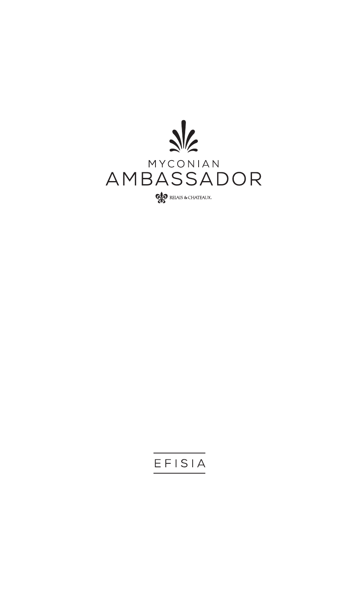

## EFISIA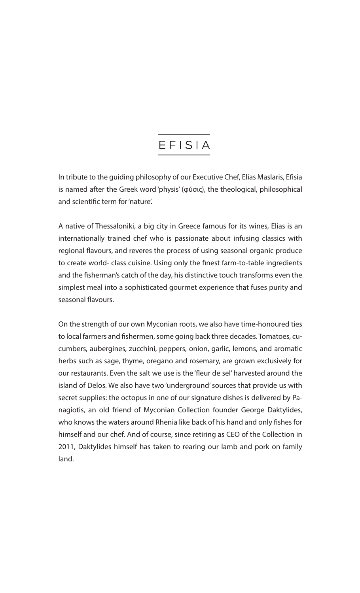# EFISIA

In tribute to the guiding philosophy of our Executive Chef, Elias Maslaris, Efisia is named after the Greek word 'physis' (φύσις), the theological, philosophical and scientific term for 'nature'.

A native of Thessaloniki, a big city in Greece famous for its wines, Elias is an internationally trained chef who is passionate about infusing classics with regional flavours, and reveres the process of using seasonal organic produce to create world- class cuisine. Using only the finest farm-to-table ingredients and the fisherman's catch of the day, his distinctive touch transforms even the simplest meal into a sophisticated gourmet experience that fuses purity and seasonal flavours.

On the strength of our own Myconian roots, we also have time-honoured ties to local farmers and fishermen, some going back three decades. Tomatoes, cucumbers, aubergines, zucchini, peppers, onion, garlic, lemons, and aromatic herbs such as sage, thyme, oregano and rosemary, are grown exclusively for our restaurants. Even the salt we use is the 'fleur de sel' harvested around the island of Delos. We also have two 'underground' sources that provide us with secret supplies: the octopus in one of our signature dishes is delivered by Panagiotis, an old friend of Myconian Collection founder George Daktylides, who knows the waters around Rhenia like back of his hand and only fishes for himself and our chef. And of course, since retiring as CEO of the Collection in 2011, Daktylides himself has taken to rearing our lamb and pork on family land.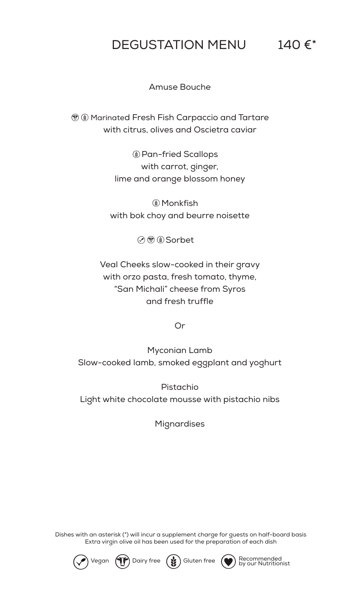# DEGUSTATION MENU 140 €\*

Amuse Bouche

**Marinated Fresh Fish Carpaccio and Tartare** with citrus, olives and Oscietra caviar

> **(** $\bullet$  Monkfish with bok choy and beurre noisette

> > **⊘ ® Sorbet**

Pan-fried Scallops with carrot, ginger, lime and orange blossom honey

Veal Cheeks slow-cooked in their gravy with orzo pasta, fresh tomato, thyme, "San Michali" cheese from Syros and fresh truffle

Or

Myconian Lamb Slow-cooked lamb, smoked eggplant and yoghurt

#### Pistachio

#### Light white chocolate mousse with pistachio nibs

**Mignardises** 

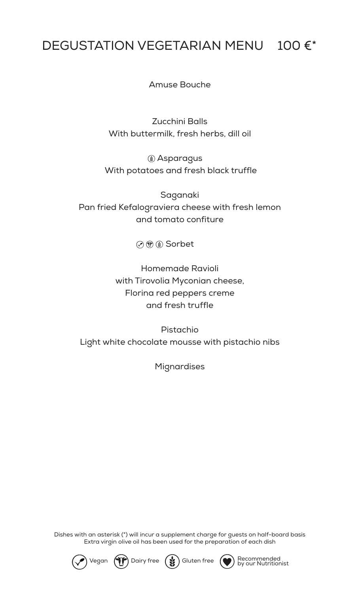## DEGUSTATION VEGETARIAN MENU 100 €\*

Amuse Bouche

Zucchini Balls With buttermilk, fresh herbs, dill oil

Asparagus With potatoes and fresh black truffle

Saganaki Pan fried Kefalograviera cheese with fresh lemon and tomato confiture

⊙ ® O Sorbet

Homemade Ravioli with Tirovolia Myconian cheese, Florina red peppers creme and fresh truffle

Pistachio Light white chocolate mousse with pistachio nibs

Mignardises

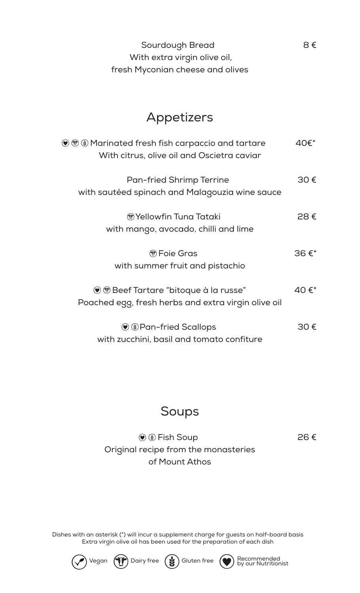| Sourdough Bread                  | 8€ |
|----------------------------------|----|
| With extra virgin olive oil,     |    |
| fresh Myconian cheese and olives |    |

## Appetizers

### $\textcircled{\tiny{\textcircled{\#}}}$  Fish Soup 26 € Original recipe from the monasteries of Mount Athos

| $\mathcal{O} \oplus \mathcal{O}$ Marinated fresh fish carpaccio and tartare<br>With citrus, olive oil and Oscietra caviar | 40€*          |
|---------------------------------------------------------------------------------------------------------------------------|---------------|
| <b>Pan-fried Shrimp Terrine</b><br>with sautéed spinach and Malagouzia wine sauce                                         | 30€           |
| <b><i>M</i></b> Yellowfin Tuna Tataki<br>with mango, avocado, chilli and lime                                             | $28 \epsilon$ |
| <b><i><sup>m</sup></i></b> Foie Gras<br>with summer fruit and pistachio                                                   | $36 \in X$    |
| $\bullet$ $\circledast$ Beef Tartare "bitoque à la russe"<br>Poached egg, fresh herbs and extra virgin olive oil          | 40€*          |
| <b>O</b> @ Pan-fried Scallops<br>with zucchini, basil and tomato confiture                                                | 30 $\epsilon$ |

### Soups

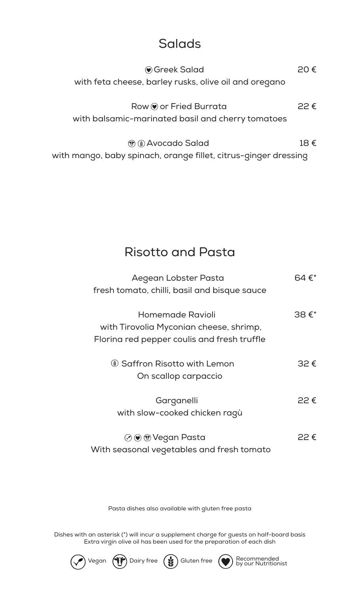## Salads

Greek Salad 20 € with feta cheese, barley rusks, olive oil and oregano

Row  $\bigcirc$  or Fried Burrata 22  $\epsilon$ with balsamic-marinated basil and cherry tomatoes

 $\circledR$   $\circledR$  Avocado Salad 18  $\in$ with mango, baby spinach, orange fillet, citrus-ginger dressing

> Aegean Lobster Pasta 64€\* fresh tomato, chilli, basil and bisque sauce Homemade Ravioli 38 €\* with Tirovolia Myconian cheese, shrimp, Florina red pepper coulis and fresh truffle Saffron Risotto with Lemon 32 € On scallop carpaccio

### Risotto and Pasta

### Garganelli 22 € with slow-cooked chicken ragù

Vegan Pasta 22 € With seasonal vegetables and fresh tomato

Pasta dishes also available with gluten free pasta

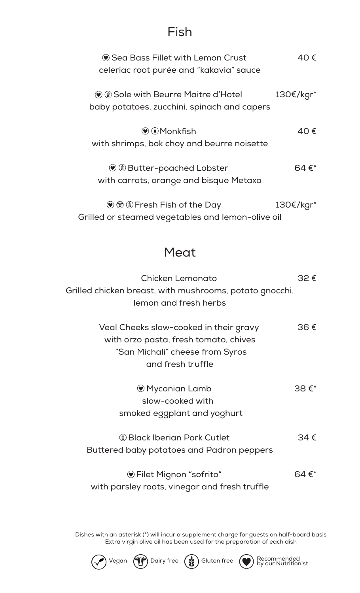### Fish

| ♥ Sea Bass Fillet with Lemon Crust<br>celeriac root purée and "kakavia" sauce                                                           | 40 €            |
|-----------------------------------------------------------------------------------------------------------------------------------------|-----------------|
| $\left(\bullet\right)$ $\circledast$ Sole with Beurre Maitre d'Hotel<br>baby potatoes, zucchini, spinach and capers                     | 130€/kgr*       |
| $\left( \bullet \right)$ $\bullet$ Monkfish<br>with shrimps, bok choy and beurre noisette                                               | 40€             |
| $\bullet$ $\bullet$ Butter-poached Lobster<br>with carrots, orange and bisque Metaxa                                                    | 64 $\epsilon^*$ |
| $\circledcirc$ $\circledcirc$ $\circledcirc$ Fresh Fish of the Day<br>Grilled or steamed vegetables and lemon-olive oil                 | 130€/kgr*       |
| Meat                                                                                                                                    |                 |
| Chicken Lemonato<br>Grilled chicken breast, with mushrooms, potato gnocchi,<br>lemon and fresh herbs                                    | 32€             |
| Veal Cheeks slow-cooked in their gravy<br>with orzo pasta, fresh tomato, chives<br>"San Michali" cheese from Syros<br>and fresh truffle | 36€             |

Myconian Lamb 38 €\* slow-cooked with smoked eggplant and yoghurt

Black Iberian Pork Cutlet 34 € Buttered baby potatoes and Padron peppers

Filet Mignon "sofrito" 64 €\* with parsley roots, vinegar and fresh truffle

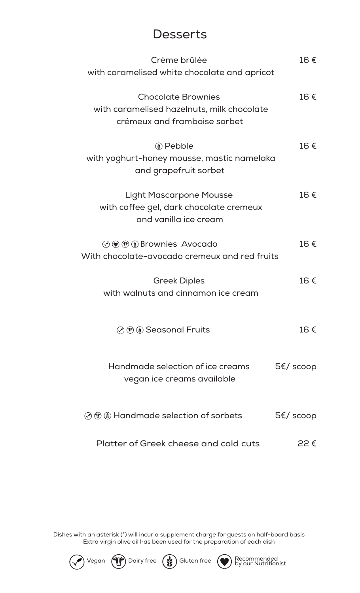## **Desserts**

| Crème brûlée                                                       | 16€           |
|--------------------------------------------------------------------|---------------|
| with caramelised white chocolate and apricot                       |               |
| <b>Chocolate Brownies</b>                                          | 16€           |
| with caramelised hazelnuts, milk chocolate                         |               |
| crémeux and framboise sorbet                                       |               |
| ( <b>*</b> ) Pebble                                                | 16€           |
| with yoghurt-honey mousse, mastic namelaka                         |               |
| and grapefruit sorbet                                              |               |
| <b>Light Mascarpone Mousse</b>                                     | 16€           |
| with coffee gel, dark chocolate cremeux                            |               |
| and vanilla ice cream                                              |               |
| $\circledcirc$ ( $\circledcirc$ ( $\circledast$ ) Brownies Avocado | 16€           |
| With chocolate-avocado cremeux and red fruits                      |               |
| <b>Greek Diples</b>                                                | 16€           |
| with walnuts and cinnamon ice cream                                |               |
|                                                                    |               |
| $\circledcirc$ $\circledcirc$ $\circledcirc$ Seasonal Fruits       | 16€           |
|                                                                    |               |
| Handmade selection of ice creams                                   | $5\xi/$ scoop |

vegan ice creams available

#### ⊙ ® ( Handmade selection of sorbets 5€/ scoop

#### Platter of Greek cheese and cold cuts 22 €